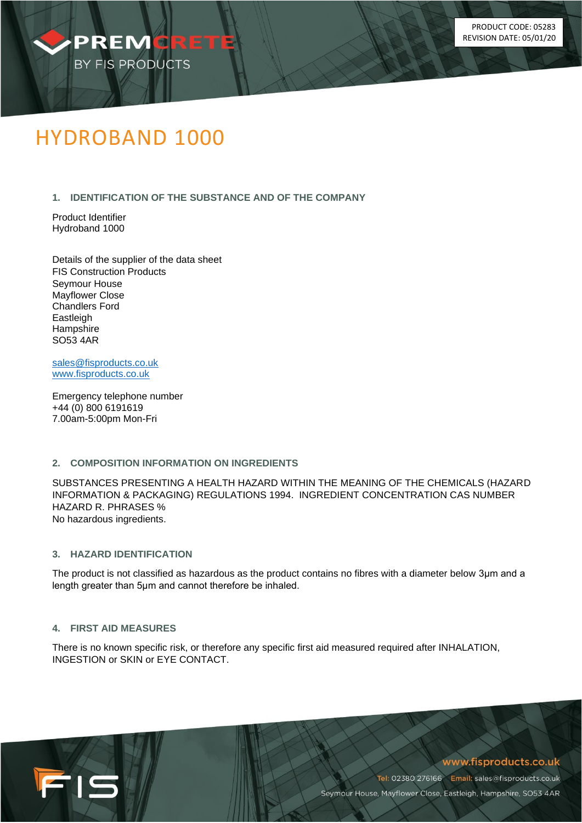

# HYDROBAND 1000

# **1. IDENTIFICATION OF THE SUBSTANCE AND OF THE COMPANY**

Product Identifier Hydroband 1000

Details of the supplier of the data sheet FIS Construction Products Seymour House Mayflower Close Chandlers Ford **Eastleigh Hampshire** SO53 4AR

[sales@fisproducts.co.uk](mailto:sales@fisproducts.co.uk) [www.fisproducts.co.uk](http://www.fisproducts.co.uk/)

Emergency telephone number +44 (0) 800 6191619 7.00am-5:00pm Mon-Fri

### **2. COMPOSITION INFORMATION ON INGREDIENTS**

SUBSTANCES PRESENTING A HEALTH HAZARD WITHIN THE MEANING OF THE CHEMICALS (HAZARD INFORMATION & PACKAGING) REGULATIONS 1994. INGREDIENT CONCENTRATION CAS NUMBER HAZARD R. PHRASES % No hazardous ingredients.

# **3. HAZARD IDENTIFICATION**

The product is not classified as hazardous as the product contains no fibres with a diameter below 3μm and a length greater than 5μm and cannot therefore be inhaled.

### **4. FIRST AID MEASURES**

FIS

There is no known specific risk, or therefore any specific first aid measured required after INHALATION, INGESTION or SKIN or EYE CONTACT.

# www.fisproducts.co.uk

Tel: 02380 276166 Email: sales@fisproducts.co.uk Seymour House, Mayflower Close, Eastleigh, Hampshire, SO53 4AR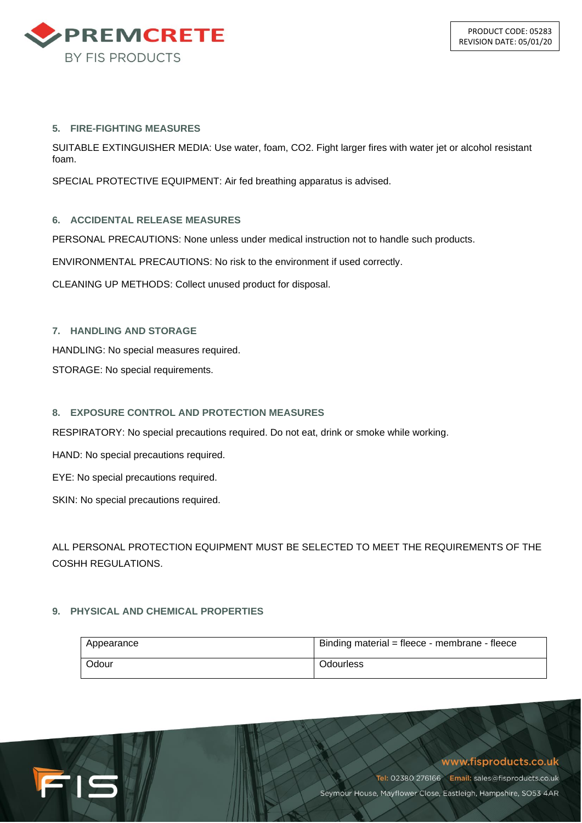

## **5. FIRE-FIGHTING MEASURES**

SUITABLE EXTINGUISHER MEDIA: Use water, foam, CO2. Fight larger fires with water jet or alcohol resistant foam.

SPECIAL PROTECTIVE EQUIPMENT: Air fed breathing apparatus is advised.

# **6. ACCIDENTAL RELEASE MEASURES**

PERSONAL PRECAUTIONS: None unless under medical instruction not to handle such products.

ENVIRONMENTAL PRECAUTIONS: No risk to the environment if used correctly.

CLEANING UP METHODS: Collect unused product for disposal.

# **7. HANDLING AND STORAGE**

HANDLING: No special measures required.

STORAGE: No special requirements.

# **8. EXPOSURE CONTROL AND PROTECTION MEASURES**

RESPIRATORY: No special precautions required. Do not eat, drink or smoke while working.

HAND: No special precautions required.

EYE: No special precautions required.

SKIN: No special precautions required.

ALL PERSONAL PROTECTION EQUIPMENT MUST BE SELECTED TO MEET THE REQUIREMENTS OF THE COSHH REGULATIONS.

# **9. PHYSICAL AND CHEMICAL PROPERTIES**

15

| Appearance | Binding material = fleece - membrane - fleece |
|------------|-----------------------------------------------|
| Odour      | Odourless                                     |

www.fisproducts.co.uk

Tel: 02380 276166 Email: sales@fisproducts.co.uk Seymour House, Mayflower Close, Eastleigh, Hampshire, SO53 4AR